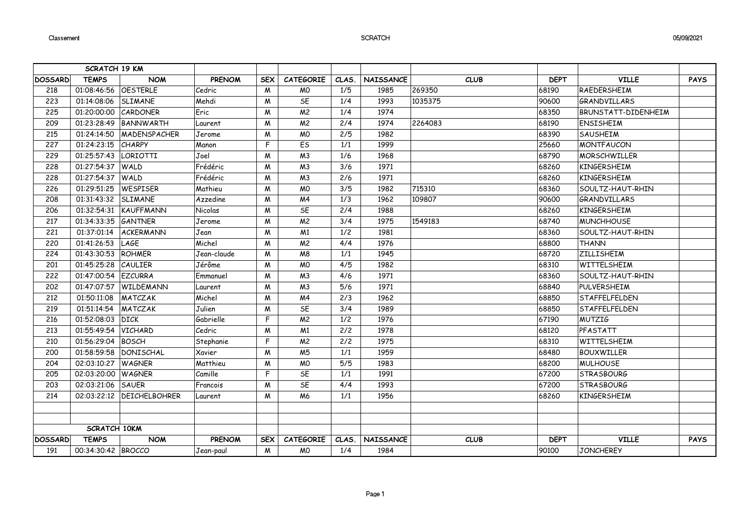## **SCRATCH**

|                                              | <b>SCRATCH 19 KM</b>       |                             |               |            |                  |       |                  |             |             |                            |             |
|----------------------------------------------|----------------------------|-----------------------------|---------------|------------|------------------|-------|------------------|-------------|-------------|----------------------------|-------------|
| <b>DOSSARD</b>                               | <b>TEMPS</b>               | <b>NOM</b>                  | <b>PRENOM</b> | <b>SEX</b> | <b>CATEGORIE</b> | CLAS. | <b>NAISSANCE</b> | <b>CLUB</b> | <b>DEPT</b> | <b>VILLE</b>               | <b>PAYS</b> |
| 218                                          | 01:08:46:56                | <b>OESTERLE</b>             | Cedric        | M          | <b>MO</b>        | 1/5   | 1985             | 269350      | 68190       | RAEDERSHEIM                |             |
| 223                                          | 01:14:08:06                | SLIMANE                     | Mehdi         | M          | SE               | 1/4   | 1993             | 1035375     | 90600       | <b>GRANDVILLARS</b>        |             |
| 225                                          | 01:20:00:00                | CARDONER                    | Eric          | M          | M <sub>2</sub>   | 1/4   | 1974             |             | 68350       | <b>BRUNSTATT-DIDENHEIM</b> |             |
| 209                                          |                            | 01:23:28:49   BANNWARTH     | Laurent       | M          | M <sup>2</sup>   | 2/4   | 1974             | 2264083     | 68190       | <b>ENSISHEIM</b>           |             |
| 215                                          | 01:24:14:50                | <b>MADENSPACHER</b>         | Jerome        | M          | <b>MO</b>        | 2/5   | 1982             |             | 68390       | <b>SAUSHEIM</b>            |             |
| 227                                          | 01:24:23:15                | <b>CHARPY</b>               | Manon         | F          | $\overline{ES}$  | 1/1   | 1999             |             | 25660       | <b>MONTFAUCON</b>          |             |
| 229                                          | 01:25:57:43                | LORIOTTI                    | Joel          | M          | M <sub>3</sub>   | 1/6   | 1968             |             | 68790       | <b>MORSCHWILLER</b>        |             |
| 228                                          | 01:27:54:37 WALD           |                             | Frédéric      | M          | M <sub>3</sub>   | 3/6   | 1971             |             | 68260       | <b>KINGERSHEIM</b>         |             |
| 228                                          | 01:27:54:37                | <b>WALD</b>                 | Frédéric      | M          | M <sub>3</sub>   | 2/6   | 1971             |             | 68260       | KINGERSHEIM                |             |
| 226                                          | 01:29:51:25                | <b>WESPISER</b>             | Mathieu       | M          | <b>MO</b>        | 3/5   | 1982             | 715310      | 68360       | SOULTZ-HAUT-RHIN           |             |
| 208                                          | 01:31:43:32                | SLIMANE                     | Azzedine      | M          | M <sub>4</sub>   | 1/3   | 1962             | 109807      | 90600       | <b>GRANDVILLARS</b>        |             |
| 206                                          | 01:32:54:31                | KAUFFMANN                   | Nicolas       | M          | 5E               | 2/4   | 1988             |             | 68260       | KINGERSHEIM                |             |
| 217                                          | 01:34:33:35 <i>GANTNER</i> |                             | Jerome        | M          | M <sup>2</sup>   | 3/4   | 1975             | 1549183     | 68740       | <b>MUNCHHOUSE</b>          |             |
| 221                                          | 01:37:01:14                | ACKERMANN                   | Jean          | M          | M <sub>1</sub>   | 1/2   | 1981             |             | 68360       | SOULTZ-HAUT-RHIN           |             |
| 220                                          | 01:41:26:53                | LAGE                        | Michel        | M          | M <sup>2</sup>   | 4/4   | 1976             |             | 68800       | <b>THANN</b>               |             |
| 224                                          | 01:43:30:53                | ROHMER                      | Jean-claude   | M          | M8               | 1/1   | 1945             |             | 68720       | <b>ZILLISHEIM</b>          |             |
| 201                                          | 01:45:25:28                | CAULIER                     | Jérôme        | M          | <b>MO</b>        | 4/5   | 1982             |             | 68310       | WITTELSHEIM                |             |
| 222                                          | 01:47:00:54 EZCURRA        |                             | Emmanuel      | M          | M <sub>3</sub>   | 4/6   | 1971             |             | 68360       | SOULTZ-HAUT-RHIN           |             |
| 202                                          |                            | 01:47:07:57 WILDEMANN       | Laurent       | M          | M <sub>3</sub>   | 5/6   | 1971             |             | 68840       | PULVERSHEIM                |             |
| 212                                          | 01:50:11:08                | MATCZAK                     | Michel        | M          | M <sub>4</sub>   | 2/3   | 1962             |             | 68850       | STAFFELFELDEN              |             |
| 219                                          | 01:51:14:54                | MATCZAK                     | Julien        | M          | SE               | 3/4   | 1989             |             | 68850       | STAFFELFELDEN              |             |
| 216                                          | 01:52:08:03                | <b>DICK</b>                 | Gabrielle     | F          | M <sub>2</sub>   | 1/2   | 1976             |             | 67190       | <b>MUTZIG</b>              |             |
| 213                                          | 01:55:49:54                | <b>VICHARD</b>              | Cedric        | M          | M <sub>1</sub>   | 2/2   | 1978             |             | 68120       | PFASTATT                   |             |
| 210                                          | 01:56:29:04 BOSCH          |                             | Stephanie     | F          | M <sub>2</sub>   | 2/2   | 1975             |             | 68310       | WITTELSHEIM                |             |
| 200                                          | 01:58:59:58                | DONISCHAL                   | Xavier        | M          | M <sub>5</sub>   | 1/1   | 1959             |             | 68480       | <b>BOUXWILLER</b>          |             |
| 204                                          | 02:03:10:27                | <b>WAGNER</b>               | Matthieu      | M          | <b>MO</b>        | 5/5   | 1983             |             | 68200       | <b>MULHOUSE</b>            |             |
| 205                                          | 02:03:20:00                | <b>WAGNER</b>               | Camille       | F          | SE               | 1/1   | 1991             |             | 67200       | <b>STRASBOURG</b>          |             |
| 203                                          | 02:03:21:06                | <b>SAUER</b>                | Francois      | M          | SE               | 4/4   | 1993             |             | 67200       | <b>STRASBOURG</b>          |             |
| 214                                          |                            | 02:03:22:12   DEICHELBOHRER | Laurent       | M          | M <sub>6</sub>   | 1/1   | 1956             |             | 68260       | KINGERSHEIM                |             |
|                                              |                            |                             |               |            |                  |       |                  |             |             |                            |             |
|                                              |                            |                             |               |            |                  |       |                  |             |             |                            |             |
|                                              | <b>SCRATCH 10KM</b>        |                             |               |            |                  |       |                  |             |             |                            |             |
| <b>TEMPS</b><br><b>NOM</b><br><b>DOSSARD</b> |                            |                             | <b>PRENOM</b> | <b>SEX</b> | <b>CATEGORIE</b> | CLAS. | NAISSANCE        | <b>CLUB</b> | <b>DEPT</b> | <b>VILLE</b>               | <b>PAYS</b> |
| 191                                          | 00:34:30:42  BROCCO        |                             | Jean-paul     | M          | <b>MO</b>        | 1/4   | 1984             |             | 90100       | <b>JONCHEREY</b>           |             |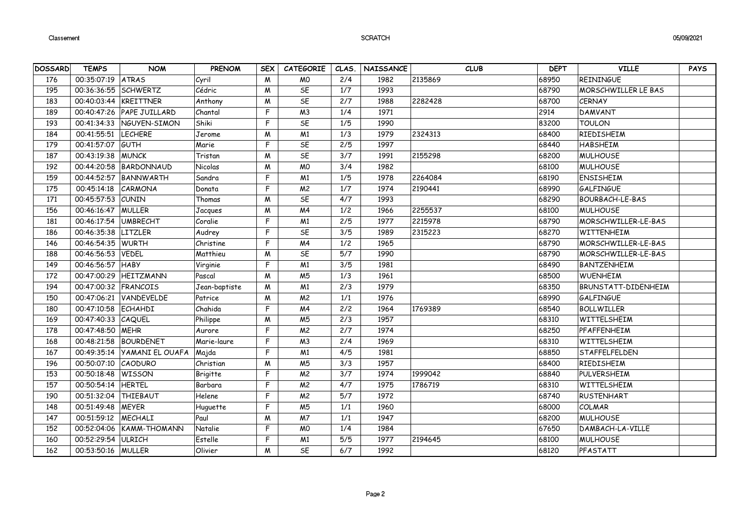## SCRATCH

| <b>DOSSARD</b> | <b>TEMPS</b>          | <b>NOM</b>                | <b>PRENOM</b> | <b>SEX</b>   | <b>CATEGORIE</b> | CLAS.                    | NAISSANCE | <b>CLUB</b> | <b>DEPT</b> | <b>VILLE</b>               | <b>PAYS</b> |
|----------------|-----------------------|---------------------------|---------------|--------------|------------------|--------------------------|-----------|-------------|-------------|----------------------------|-------------|
| 176            | 00:35:07:19           | <b>ATRAS</b>              | Cyril         | M            | <b>MO</b>        | 2/4                      | 1982      | 2135869     | 68950       | REININGUE                  |             |
| 195            | 00:36:36:55 SCHWERTZ  |                           | Cédric        | M            | SE               | 1/7                      | 1993      |             | 68790       | MORSCHWILLER LE BAS        |             |
| 183            | 00:40:03:44 KREITTNER |                           | Anthony       | $\mathsf{M}$ | SE               | 2/7                      | 1988      | 2282428     | 68700       | <b>CERNAY</b>              |             |
| 189            |                       | 00:40:47:26 PAPE JUILLARD | Chantal       | F            | M <sub>3</sub>   | 1/4                      | 1971      |             | 2914        | DAMVANT                    |             |
| 193            |                       | 00:41:34:33 NGUYEN-SIMON  | Shiki         | F            | SE               | 1/5                      | 1990      |             | 83200       | <b>TOULON</b>              |             |
| 184            | 00:41:55:51           | <b>LECHERE</b>            | Jerome        | M            | M <sub>1</sub>   | 1/3                      | 1979      | 2324313     | 68400       | RIEDISHEIM                 |             |
| 179            | 00:41:57:07           | GUTH                      | Marie         | F            | SE               | 2/5                      | 1997      |             | 68440       | <b>HABSHEIM</b>            |             |
| 187            | 00:43:19:38           | <b>MUNCK</b>              | Tristan       | M            | SE               | 3/7                      | 1991      | 2155298     | 68200       | <b>MULHOUSE</b>            |             |
| 192            | 00:44:20:58           | BARDONNAUD                | Nicolas       | M            | <b>MO</b>        | 3/4                      | 1982      |             | 68100       | <b>MULHOUSE</b>            |             |
| 159            |                       | 00:44:52:57 BANNWARTH     | Sandra        | F            | M <sub>1</sub>   | $\overline{1/5}$         | 1978      | 2264084     | 68190       | <b>ENSISHEIM</b>           |             |
| 175            | 00:45:14:18           | CARMONA                   | Donata        | F            | M <sub>2</sub>   | 1/7                      | 1974      | 2190441     | 68990       | <b>GALFINGUE</b>           |             |
| 171            | 00:45:57:53 CUNIN     |                           | Thomas        | M            | SE               | 4/7                      | 1993      |             | 68290       | BOURBACH-LE-BAS            |             |
| 156            | 00:46:16:47 MULLER    |                           | Jacques       | M            | M <sub>4</sub>   | 1/2                      | 1966      | 2255537     | 68100       | <b>MULHOUSE</b>            |             |
| 181            | 00:46:17:54           | <b>UMBRECHT</b>           | Coralie       | F            | M <sub>1</sub>   | 2/5                      | 1977      | 2215978     | 68790       | MORSCHWILLER-LE-BAS        |             |
| 186            | 00:46:35:38           | <b>LITZLER</b>            | Audrey        | F            | SE               | 3/5                      | 1989      | 2315223     | 68270       | WITTENHEIM                 |             |
| 146            | 00:46:54:35 WURTH     |                           | Christine     | F            | M <sub>4</sub>   | 1/2                      | 1965      |             | 68790       | MORSCHWILLER-LE-BAS        |             |
| 188            | 00:46:56:53           | <b>VEDEL</b>              | Matthieu      | M            | SE               | $\overline{5/7}$         | 1990      |             | 68790       | MORSCHWILLER-LE-BAS        |             |
| 149            | 00:46:56:57           | <b>HABY</b>               | Virginie      | F            | M <sub>1</sub>   | 3/5                      | 1981      |             | 68490       | BANTZENHEIM                |             |
| 172            |                       | 00:47:00:29 HEITZMANN     | Pascal        | M            | M <sub>5</sub>   | 1/3                      | 1961      |             | 68500       | <b>WUENHEIM</b>            |             |
| 194            | 00:47:00:32 FRANCOIS  |                           | Jean-baptiste | M            | M <sub>1</sub>   | 2/3                      | 1979      |             | 68350       | <b>BRUNSTATT-DIDENHEIM</b> |             |
| 150            |                       | 00:47:06:21 VANDEVELDE    | Patrice       | M            | M <sup>2</sup>   | 1/1                      | 1976      |             | 68990       | <b>GALFINGUE</b>           |             |
| 180            | 00:47:10:58 ECHAHDI   |                           | Chahida       | F            | M <sub>4</sub>   | 2/2                      | 1964      | 1769389     | 68540       | <b>BOLLWILLER</b>          |             |
| 169            | 00:47:40:33 CAQUEL    |                           | Philippe      | M            | M <sub>5</sub>   | 2/3                      | 1957      |             | 68310       | WITTELSHEIM                |             |
| 178            | 00:47:48:50           | MEHR                      | Aurore        | F            | M <sup>2</sup>   | $\overline{2/7}$         | 1974      |             | 68250       | PFAFFENHEIM                |             |
| 168            | 00:48:21:58           | <b>BOURDENET</b>          | Marie-laure   | F            | M <sub>3</sub>   | 2/4                      | 1969      |             | 68310       | WITTELSHEIM                |             |
| 167            | 00:49:35:14           | <b>YAMANI EL OUAFA</b>    | Majda         | $\mathsf{F}$ | M <sub>1</sub>   | 4/5                      | 1981      |             | 68850       | <b>STAFFELFELDEN</b>       |             |
| 196            | 00:50:07:10 CAODURO   |                           | Christian     | M            | M <sub>5</sub>   | $\overline{\frac{3}{3}}$ | 1957      |             | 68400       | RIEDISHEIM                 |             |
| 153            | 00:50:18:48           | WISSON                    | Brigitte      | F            | M <sup>2</sup>   | 3/7                      | 1974      | 1999042     | 68840       | PULVERSHEIM                |             |
| 157            | 00:50:54:14 HERTEL    |                           | Barbara       | F            | M <sup>2</sup>   | 4/7                      | 1975      | 1786719     | 68310       | WITTELSHEIM                |             |
| 190            | 00:51:32:04 THIEBAUT  |                           | Helene        | F            | M <sub>2</sub>   | 5/7                      | 1972      |             | 68740       | <b>RUSTENHART</b>          |             |
| 148            | 00:51:49:48   MEYER   |                           | Huguette      | F            | M <sub>5</sub>   | 1/1                      | 1960      |             | 68000       | COLMAR                     |             |
| 147            | 00:51:59:12           | MECHALI                   | Paul          | M            | M <sub>7</sub>   | 1/1                      | 1947      |             | 68200       | <b>MULHOUSE</b>            |             |
| 152            | 00:52:04:06           | <b>KAMM-THOMANN</b>       | Natalie       | F            | <b>MO</b>        | $\overline{1/4}$         | 1984      |             | 67650       | DAMBACH-LA-VILLE           |             |
| 160            | 00:52:29:54           | <b>ULRICH</b>             | Estelle       | F            | M <sub>1</sub>   | 5/5                      | 1977      | 2194645     | 68100       | MULHOUSE                   |             |
| 162            | 00:53:50:16 MULLER    |                           | Olivier       | M            | SE               | 6/7                      | 1992      |             | 68120       | PFASTATT                   |             |